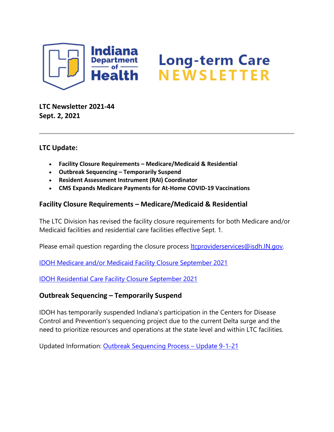

# Long-term Care<br>NEWSLETTER

**LTC Newsletter 2021-44 Sept. 2, 2021**

## **LTC Update:**

- **Facility Closure Requirements – Medicare/Medicaid & Residential**
- **Outbreak Sequencing – Temporarily Suspend**
- **Resident Assessment Instrument (RAI) Coordinator**
- **CMS Expands Medicare Payments for At-Home COVID-19 Vaccinations**

## **Facility Closure Requirements – Medicare/Medicaid & Residential**

The LTC Division has revised the facility closure requirements for both Medicare and/or Medicaid facilities and residential care facilities effective Sept. 1.

Please email question regarding the closure process **Itcproviderservices@isdh.IN.gov.** 

[IDOH Medicare and/or Medicaid Facility Closure September 2021](https://www.in.gov/health/files/SNF-NF-Facility-Closure-Requirements-Sept-2021.pdf)

[IDOH Residential Care Facility Closure September 2021](https://www.in.gov/health/files/Residential-Facility-Closure-Requirements-Sept-2021.pdf)

#### **Outbreak Sequencing – Temporarily Suspend**

IDOH has temporarily suspended Indiana's participation in the Centers for Disease Control and Prevention's sequencing project due to the current Delta surge and the need to prioritize resources and operations at the state level and within LTC facilities.

Updated Information: [Outbreak Sequencing Process –](https://content.govdelivery.com/attachments/INSDH/2021/09/02/file_attachments/1924219/Sequencing%20results%20for%20Newsletter%209-2-21.pdf) Update 9-1-21